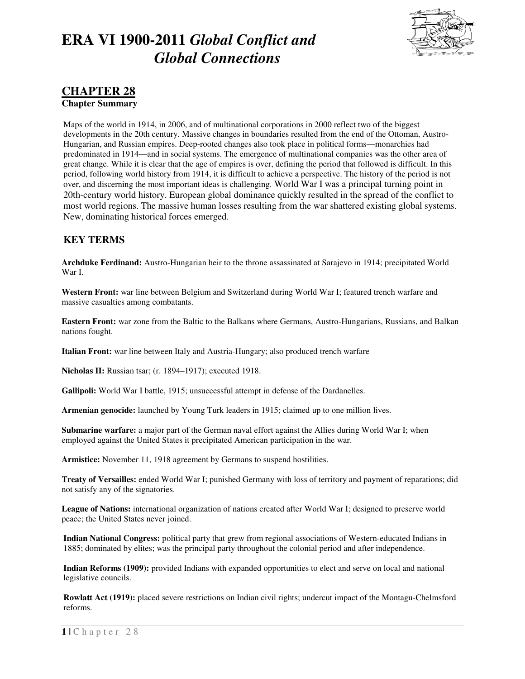

### **CHAPTER 28**

**Chapter Summary** 

Maps of the world in 1914, in 2006, and of multinational corporations in 2000 reflect two of the biggest developments in the 20th century. Massive changes in boundaries resulted from the end of the Ottoman, Austro-Hungarian, and Russian empires. Deep-rooted changes also took place in political forms—monarchies had predominated in 1914—and in social systems. The emergence of multinational companies was the other area of great change. While it is clear that the age of empires is over, defining the period that followed is difficult. In this period, following world history from 1914, it is difficult to achieve a perspective. The history of the period is not over, and discerning the most important ideas is challenging. World War I was a principal turning point in 20th-century world history. European global dominance quickly resulted in the spread of the conflict to most world regions. The massive human losses resulting from the war shattered existing global systems. New, dominating historical forces emerged.

### **KEY TERMS**

**Archduke Ferdinand:** Austro-Hungarian heir to the throne assassinated at Sarajevo in 1914; precipitated World War I.

**Western Front:** war line between Belgium and Switzerland during World War I; featured trench warfare and massive casualties among combatants.

**Eastern Front:** war zone from the Baltic to the Balkans where Germans, Austro-Hungarians, Russians, and Balkan nations fought.

**Italian Front:** war line between Italy and Austria-Hungary; also produced trench warfare

**Nicholas II:** Russian tsar; (r. 1894–1917); executed 1918.

**Gallipoli:** World War I battle, 1915; unsuccessful attempt in defense of the Dardanelles.

**Armenian genocide:** launched by Young Turk leaders in 1915; claimed up to one million lives.

**Submarine warfare:** a major part of the German naval effort against the Allies during World War I; when employed against the United States it precipitated American participation in the war.

**Armistice:** November 11, 1918 agreement by Germans to suspend hostilities.

**Treaty of Versailles:** ended World War I; punished Germany with loss of territory and payment of reparations; did not satisfy any of the signatories.

**League of Nations:** international organization of nations created after World War I; designed to preserve world peace; the United States never joined.

**Indian National Congress:** political party that grew from regional associations of Western-educated Indians in 1885; dominated by elites; was the principal party throughout the colonial period and after independence.

**Indian Reforms (1909):** provided Indians with expanded opportunities to elect and serve on local and national legislative councils.

**Rowlatt Act (1919):** placed severe restrictions on Indian civil rights; undercut impact of the Montagu-Chelmsford reforms.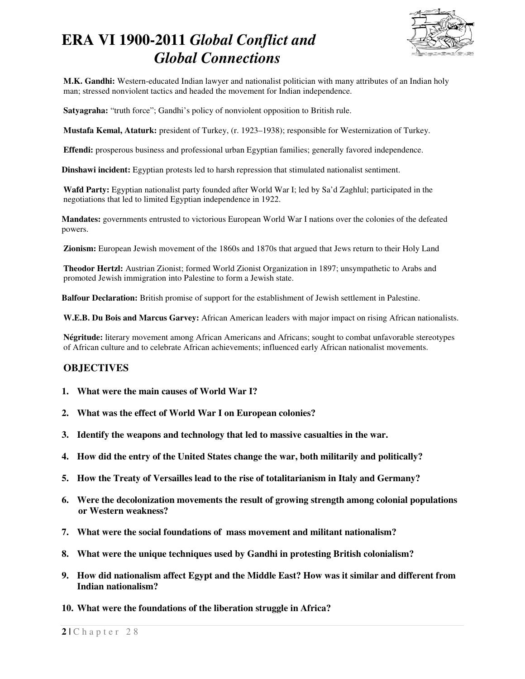

**M.K. Gandhi:** Western-educated Indian lawyer and nationalist politician with many attributes of an Indian holy man; stressed nonviolent tactics and headed the movement for Indian independence.

**Satyagraha:** "truth force"; Gandhi's policy of nonviolent opposition to British rule.

**Mustafa Kemal, Ataturk:** president of Turkey, (r. 1923–1938); responsible for Westernization of Turkey.

**Effendi:** prosperous business and professional urban Egyptian families; generally favored independence.

**Dinshawi incident:** Egyptian protests led to harsh repression that stimulated nationalist sentiment.

**Wafd Party:** Egyptian nationalist party founded after World War I; led by Sa'd Zaghlul; participated in the negotiations that led to limited Egyptian independence in 1922.

**Mandates:** governments entrusted to victorious European World War I nations over the colonies of the defeated powers.

**Zionism:** European Jewish movement of the 1860s and 1870s that argued that Jews return to their Holy Land

**Theodor Hertzl:** Austrian Zionist; formed World Zionist Organization in 1897; unsympathetic to Arabs and promoted Jewish immigration into Palestine to form a Jewish state.

**Balfour Declaration:** British promise of support for the establishment of Jewish settlement in Palestine.

**W.E.B. Du Bois and Marcus Garvey:** African American leaders with major impact on rising African nationalists.

**Négritude:** literary movement among African Americans and Africans; sought to combat unfavorable stereotypes of African culture and to celebrate African achievements; influenced early African nationalist movements.

### **OBJECTIVES**

- **1. What were the main causes of World War I?**
- **2. What was the effect of World War I on European colonies?**
- **3. Identify the weapons and technology that led to massive casualties in the war.**
- **4. How did the entry of the United States change the war, both militarily and politically?**
- **5. How the Treaty of Versailles lead to the rise of totalitarianism in Italy and Germany?**
- **6. Were the decolonization movements the result of growing strength among colonial populations or Western weakness?**
- **7. What were the social foundations of mass movement and militant nationalism?**
- **8. What were the unique techniques used by Gandhi in protesting British colonialism?**
- **9. How did nationalism affect Egypt and the Middle East? How was it similar and different from Indian nationalism?**
- **10. What were the foundations of the liberation struggle in Africa?**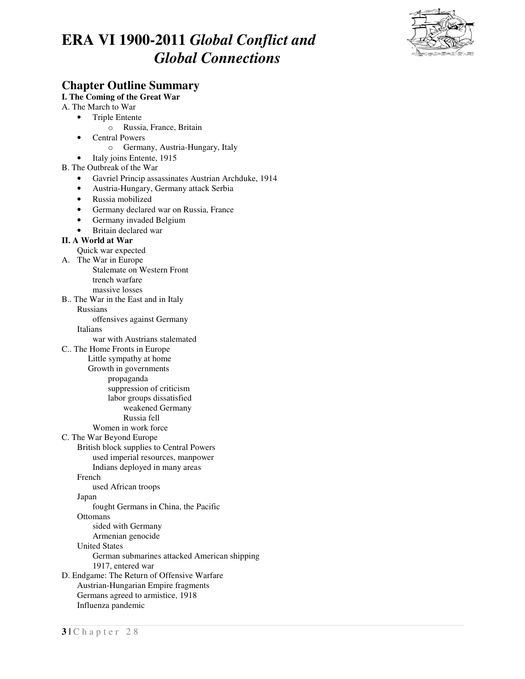

### **Chapter Outline Summary**

**I. The Coming of the Great War** 

A. The March to War

- Triple Entente
	- o Russia, France, Britain
- Central Powers
	- o Germany, Austria-Hungary, Italy
- Italy joins Entente, 1915

#### B. The Outbreak of the War

- Gavriel Princip assassinates Austrian Archduke, 1914
- Austria-Hungary, Germany attack Serbia
- Russia mobilized
- Germany declared war on Russia, France
- Germany invaded Belgium
- Britain declared war

#### **II. A World at War**

- Quick war expected
- A. The War in Europe
	- Stalemate on Western Front trench warfare massive losses
- B.. The War in the East and in Italy
	- Russians

offensives against Germany

Italians

- war with Austrians stalemated
- C.. The Home Fronts in Europe
	- Little sympathy at home
		- Growth in governments
			- propaganda
				- suppression of criticism
				- labor groups dissatisfied
					- weakened Germany
					- Russia fell
					-
	- Women in work force
- C. The War Beyond Europe
	- British block supplies to Central Powers
		- used imperial resources, manpower
		- Indians deployed in many areas
	- French
		- used African troops
	- Japan
	- fought Germans in China, the Pacific
	- **Ottomans** 
		- sided with Germany
	- Armenian genocide
	- United States
		- German submarines attacked American shipping 1917, entered war
- D. Endgame: The Return of Offensive Warfare
	- Austrian-Hungarian Empire fragments
	- Germans agreed to armistice, 1918 Influenza pandemic
- **3 |** C h a p t e r 2 8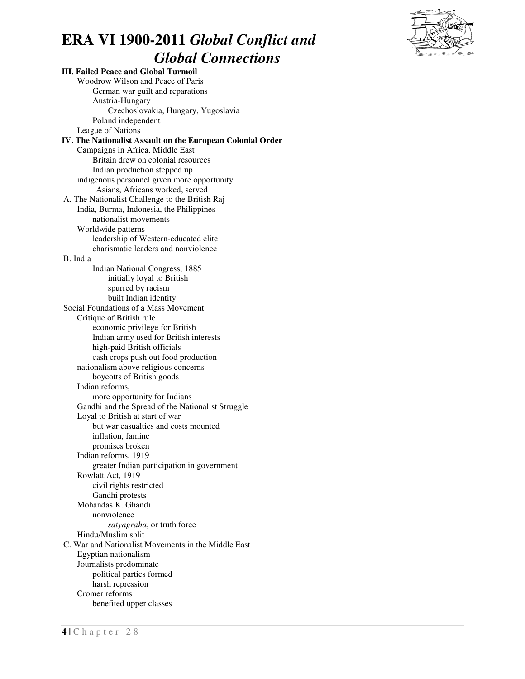

**III. Failed Peace and Global Turmoil** Woodrow Wilson and Peace of Paris German war guilt and reparations Austria-Hungary Czechoslovakia, Hungary, Yugoslavia Poland independent League of Nations **IV. The Nationalist Assault on the European Colonial Order** Campaigns in Africa, Middle East Britain drew on colonial resources Indian production stepped up indigenous personnel given more opportunity Asians, Africans worked, served A. The Nationalist Challenge to the British Raj India, Burma, Indonesia, the Philippines nationalist movements Worldwide patterns leadership of Western-educated elite charismatic leaders and nonviolence B. India Indian National Congress, 1885 initially loyal to British spurred by racism built Indian identity Social Foundations of a Mass Movement Critique of British rule economic privilege for British Indian army used for British interests high-paid British officials cash crops push out food production nationalism above religious concerns boycotts of British goods Indian reforms, more opportunity for Indians Gandhi and the Spread of the Nationalist Struggle Loyal to British at start of war but war casualties and costs mounted inflation, famine promises broken Indian reforms, 1919 greater Indian participation in government Rowlatt Act, 1919 civil rights restricted Gandhi protests Mohandas K. Ghandi nonviolence *satyagraha*, or truth force Hindu/Muslim split C. War and Nationalist Movements in the Middle East Egyptian nationalism Journalists predominate political parties formed harsh repression Cromer reforms benefited upper classes